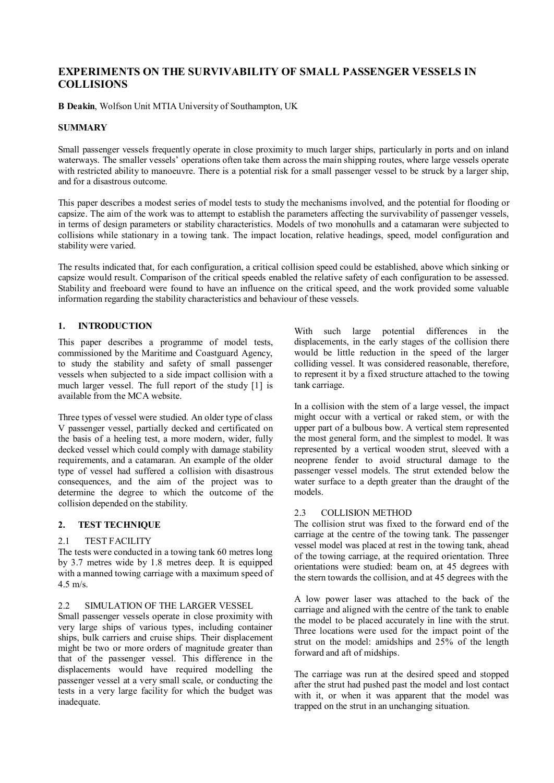# **EXPERIMENTS ON THE SURVIVABILITY OF SMALL PASSENGER VESSELS IN COLLISIONS**

**B Deakin**, Wolfson Unit MTIA University of Southampton, UK

## **SUMMARY**

Small passenger vessels frequently operate in close proximity to much larger ships, particularly in ports and on inland waterways. The smaller vessels' operations often take them across the main shipping routes, where large vessels operate with restricted ability to manoeuvre. There is a potential risk for a small passenger vessel to be struck by a larger ship, and for a disastrous outcome.

This paper describes a modest series of model tests to study the mechanisms involved, and the potential for flooding or capsize. The aim of the work was to attempt to establish the parameters affecting the survivability of passenger vessels, in terms of design parameters or stability characteristics. Models of two monohulls and a catamaran were subjected to collisions while stationary in a towing tank. The impact location, relative headings, speed, model configuration and stability were varied.

The results indicated that, for each configuration, a critical collision speed could be established, above which sinking or capsize would result. Comparison of the critical speeds enabled the relative safety of each configuration to be assessed. Stability and freeboard were found to have an influence on the critical speed, and the work provided some valuable information regarding the stability characteristics and behaviour of these vessels.

## **1. INTRODUCTION**

This paper describes a programme of model tests, commissioned by the Maritime and Coastguard Agency, to study the stability and safety of small passenger vessels when subjected to a side impact collision with a much larger vessel. The full report of the study [1] is available from the MCA website.

Three types of vessel were studied. An older type of class V passenger vessel, partially decked and certificated on the basis of a heeling test, a more modern, wider, fully decked vessel which could comply with damage stability requirements, and a catamaran. An example of the older type of vessel had suffered a collision with disastrous consequences, and the aim of the project was to determine the degree to which the outcome of the collision depended on the stability.

## **2. TEST TECHNIQUE**

## 2.1 TEST FACILITY

The tests were conducted in a towing tank 60 metres long by 3.7 metres wide by 1.8 metres deep. It is equipped with a manned towing carriage with a maximum speed of 4.5 m/s.

## 2.2 SIMULATION OF THE LARGER VESSEL

Small passenger vessels operate in close proximity with very large ships of various types, including container ships, bulk carriers and cruise ships. Their displacement might be two or more orders of magnitude greater than that of the passenger vessel. This difference in the displacements would have required modelling the passenger vessel at a very small scale, or conducting the tests in a very large facility for which the budget was inadequate.

With such large potential differences in the displacements, in the early stages of the collision there would be little reduction in the speed of the larger colliding vessel. It was considered reasonable, therefore, to represent it by a fixed structure attached to the towing tank carriage.

In a collision with the stem of a large vessel, the impact might occur with a vertical or raked stem, or with the upper part of a bulbous bow. A vertical stem represented the most general form, and the simplest to model. It was represented by a vertical wooden strut, sleeved with a neoprene fender to avoid structural damage to the passenger vessel models. The strut extended below the water surface to a depth greater than the draught of the models.

## 2.3 COLLISION METHOD

The collision strut was fixed to the forward end of the carriage at the centre of the towing tank. The passenger vessel model was placed at rest in the towing tank, ahead of the towing carriage, at the required orientation. Three orientations were studied: beam on, at 45 degrees with the stern towards the collision, and at 45 degrees with the

A low power laser was attached to the back of the carriage and aligned with the centre of the tank to enable the model to be placed accurately in line with the strut. Three locations were used for the impact point of the strut on the model: amidships and 25% of the length forward and aft of midships.

The carriage was run at the desired speed and stopped after the strut had pushed past the model and lost contact with it, or when it was apparent that the model was trapped on the strut in an unchanging situation.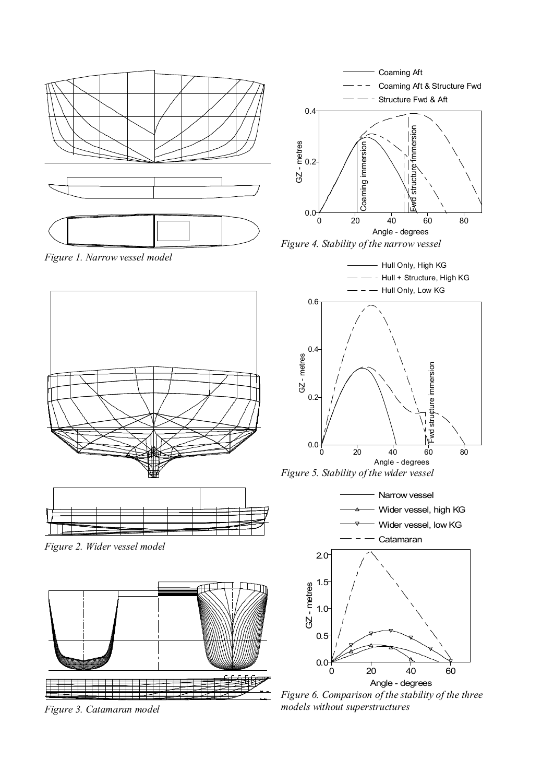

*Figure 6. Comparison of the stability of the three models without superstructures* 

*Figure 3. Catamaran model*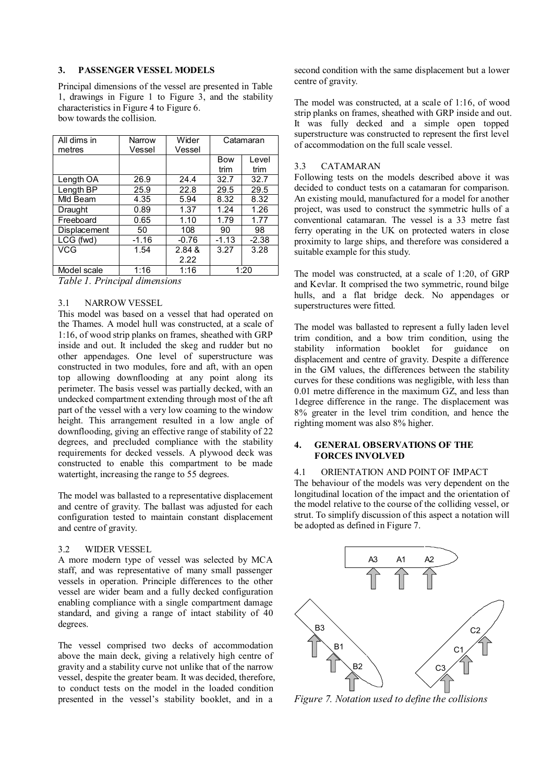#### **3. PASSENGER VESSEL MODELS**

Principal dimensions of the vessel are presented in Table 1, drawings in Figure 1 to Figure 3, and the stability characteristics in Figure 4 to Figure 6. bow towards the collision.

| All dims in<br>metres | Narrow<br>Vessel | Wider<br>Vessel | Catamaran  |         |  |
|-----------------------|------------------|-----------------|------------|---------|--|
|                       |                  |                 | <b>Bow</b> | Level   |  |
|                       |                  |                 | trim       | trim    |  |
| Length OA             | 26.9             | 24.4            | 32.7       | 32.7    |  |
| Length BP             | 25.9             | 22.8            | 29.5       | 29.5    |  |
| Mld Beam              | 4.35             | 5.94            | 8.32       | 8.32    |  |
| Draught               | 0.89             | 1.37            | 1.24       | 1.26    |  |
| Freeboard             | 0.65             | 1.10            | 1.79       | 1.77    |  |
| Displacement          | 50               | 108             | 90         | 98      |  |
| LCG (fwd)             | $-1.16$          | $-0.76$         | $-1.13$    | $-2.38$ |  |
| VCG                   | 1.54             | 2.84 &          | 3.27       | 3.28    |  |
|                       |                  | 2.22            |            |         |  |
| Model scale           | 1:16             | 1:16            | 1:20       |         |  |

*Table 1. Principal dimensions* 

#### 3.1 NARROW VESSEL

This model was based on a vessel that had operated on the Thames. A model hull was constructed, at a scale of 1:16, of wood strip planks on frames, sheathed with GRP inside and out. It included the skeg and rudder but no other appendages. One level of superstructure was constructed in two modules, fore and aft, with an open top allowing downflooding at any point along its perimeter. The basis vessel was partially decked, with an undecked compartment extending through most of the aft part of the vessel with a very low coaming to the window height. This arrangement resulted in a low angle of downflooding, giving an effective range of stability of 22 degrees, and precluded compliance with the stability requirements for decked vessels. A plywood deck was constructed to enable this compartment to be made watertight, increasing the range to 55 degrees.

The model was ballasted to a representative displacement and centre of gravity. The ballast was adjusted for each configuration tested to maintain constant displacement and centre of gravity.

#### 3.2 WIDER VESSEL

A more modern type of vessel was selected by MCA staff, and was representative of many small passenger vessels in operation. Principle differences to the other vessel are wider beam and a fully decked configuration enabling compliance with a single compartment damage standard, and giving a range of intact stability of 40 degrees.

The vessel comprised two decks of accommodation above the main deck, giving a relatively high centre of gravity and a stability curve not unlike that of the narrow vessel, despite the greater beam. It was decided, therefore, to conduct tests on the model in the loaded condition presented in the vessel's stability booklet, and in a

second condition with the same displacement but a lower centre of gravity.

The model was constructed, at a scale of 1:16, of wood strip planks on frames, sheathed with GRP inside and out. It was fully decked and a simple open topped superstructure was constructed to represent the first level of accommodation on the full scale vessel.

#### 3.3 CATAMARAN

Following tests on the models described above it was decided to conduct tests on a catamaran for comparison. An existing mould, manufactured for a model for another project, was used to construct the symmetric hulls of a conventional catamaran. The vessel is a 33 metre fast ferry operating in the UK on protected waters in close proximity to large ships, and therefore was considered a suitable example for this study.

The model was constructed, at a scale of 1:20, of GRP and Kevlar. It comprised the two symmetric, round bilge hulls, and a flat bridge deck. No appendages or superstructures were fitted.

The model was ballasted to represent a fully laden level trim condition, and a bow trim condition, using the stability information booklet for guidance on displacement and centre of gravity. Despite a difference in the GM values, the differences between the stability curves for these conditions was negligible, with less than 0.01 metre difference in the maximum GZ, and less than 1degree difference in the range. The displacement was 8% greater in the level trim condition, and hence the righting moment was also 8% higher.

#### **4. GENERAL OBSERVATIONS OF THE FORCES INVOLVED**

## 4.1 ORIENTATION AND POINT OF IMPACT

The behaviour of the models was very dependent on the longitudinal location of the impact and the orientation of the model relative to the course of the colliding vessel, or strut. To simplify discussion of this aspect a notation will be adopted as defined in Figure 7.



*Figure 7. Notation used to define the collisions*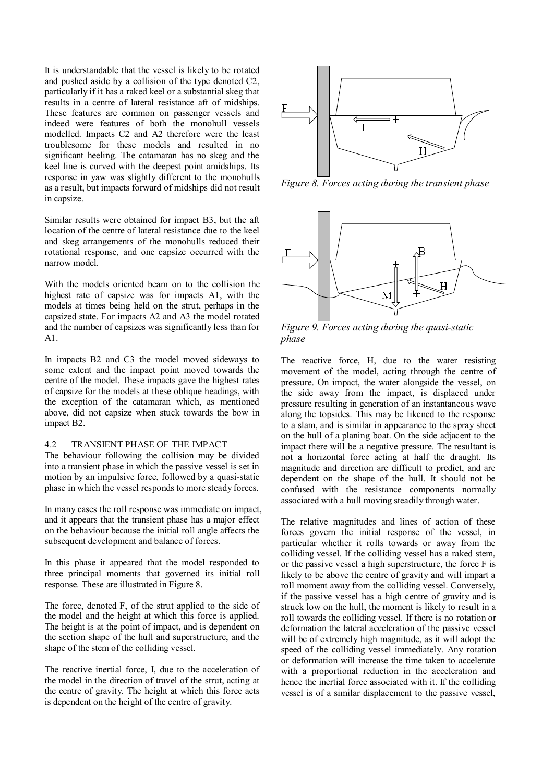It is understandable that the vessel is likely to be rotated and pushed aside by a collision of the type denoted C2, particularly if it has a raked keel or a substantial skeg that results in a centre of lateral resistance aft of midships. These features are common on passenger vessels and indeed were features of both the monohull vessels modelled. Impacts C2 and A2 therefore were the least troublesome for these models and resulted in no significant heeling. The catamaran has no skeg and the keel line is curved with the deepest point amidships. Its response in yaw was slightly different to the monohulls as a result, but impacts forward of midships did not result in capsize.

Similar results were obtained for impact B3, but the aft location of the centre of lateral resistance due to the keel and skeg arrangements of the monohulls reduced their rotational response, and one capsize occurred with the narrow model.

With the models oriented beam on to the collision the highest rate of capsize was for impacts A1, with the models at times being held on the strut, perhaps in the capsized state. For impacts A2 and A3 the model rotated and the number of capsizes was significantly less than for A1.

In impacts B2 and C3 the model moved sideways to some extent and the impact point moved towards the centre of the model. These impacts gave the highest rates of capsize for the models at these oblique headings, with the exception of the catamaran which, as mentioned above, did not capsize when stuck towards the bow in impact B2.

## 4.2 TRANSIENT PHASE OF THE IMPACT

The behaviour following the collision may be divided into a transient phase in which the passive vessel is set in motion by an impulsive force, followed by a quasi-static phase in which the vessel responds to more steady forces.

In many cases the roll response was immediate on impact, and it appears that the transient phase has a major effect on the behaviour because the initial roll angle affects the subsequent development and balance of forces.

In this phase it appeared that the model responded to three principal moments that governed its initial roll response. These are illustrated in Figure 8.

The force, denoted F, of the strut applied to the side of the model and the height at which this force is applied. The height is at the point of impact, and is dependent on the section shape of the hull and superstructure, and the shape of the stem of the colliding vessel.

The reactive inertial force, I, due to the acceleration of the model in the direction of travel of the strut, acting at the centre of gravity. The height at which this force acts is dependent on the height of the centre of gravity.



*Figure 8. Forces acting during the transient phase* 



*Figure 9. Forces acting during the quasi-static phase* 

The reactive force, H, due to the water resisting movement of the model, acting through the centre of pressure. On impact, the water alongside the vessel, on the side away from the impact, is displaced under pressure resulting in generation of an instantaneous wave along the topsides. This may be likened to the response to a slam, and is similar in appearance to the spray sheet on the hull of a planing boat. On the side adjacent to the impact there will be a negative pressure. The resultant is not a horizontal force acting at half the draught. Its magnitude and direction are difficult to predict, and are dependent on the shape of the hull. It should not be confused with the resistance components normally associated with a hull moving steadily through water.

The relative magnitudes and lines of action of these forces govern the initial response of the vessel, in particular whether it rolls towards or away from the colliding vessel. If the colliding vessel has a raked stem, or the passive vessel a high superstructure, the force F is likely to be above the centre of gravity and will impart a roll moment away from the colliding vessel. Conversely, if the passive vessel has a high centre of gravity and is struck low on the hull, the moment is likely to result in a roll towards the colliding vessel. If there is no rotation or deformation the lateral acceleration of the passive vessel will be of extremely high magnitude, as it will adopt the speed of the colliding vessel immediately. Any rotation or deformation will increase the time taken to accelerate with a proportional reduction in the acceleration and hence the inertial force associated with it. If the colliding vessel is of a similar displacement to the passive vessel,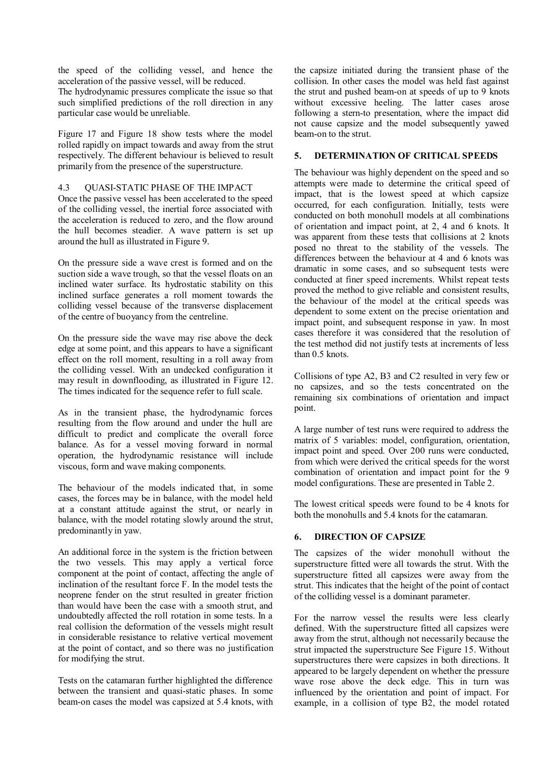the speed of the colliding vessel, and hence the acceleration of the passive vessel, will be reduced.

The hydrodynamic pressures complicate the issue so that such simplified predictions of the roll direction in any particular case would be unreliable.

Figure 17 and Figure 18 show tests where the model rolled rapidly on impact towards and away from the strut respectively. The different behaviour is believed to result primarily from the presence of the superstructure.

### 4.3 QUASI-STATIC PHASE OF THE IMPACT

Once the passive vessel has been accelerated to the speed of the colliding vessel, the inertial force associated with the acceleration is reduced to zero, and the flow around the hull becomes steadier. A wave pattern is set up around the hull as illustrated in Figure 9.

On the pressure side a wave crest is formed and on the suction side a wave trough, so that the vessel floats on an inclined water surface. Its hydrostatic stability on this inclined surface generates a roll moment towards the colliding vessel because of the transverse displacement of the centre of buoyancy from the centreline.

On the pressure side the wave may rise above the deck edge at some point, and this appears to have a significant effect on the roll moment, resulting in a roll away from the colliding vessel. With an undecked configuration it may result in downflooding, as illustrated in Figure 12. The times indicated for the sequence refer to full scale.

As in the transient phase, the hydrodynamic forces resulting from the flow around and under the hull are difficult to predict and complicate the overall force balance. As for a vessel moving forward in normal operation, the hydrodynamic resistance will include viscous, form and wave making components.

The behaviour of the models indicated that, in some cases, the forces may be in balance, with the model held at a constant attitude against the strut, or nearly in balance, with the model rotating slowly around the strut, predominantly in yaw.

An additional force in the system is the friction between the two vessels. This may apply a vertical force component at the point of contact, affecting the angle of inclination of the resultant force F. In the model tests the neoprene fender on the strut resulted in greater friction than would have been the case with a smooth strut, and undoubtedly affected the roll rotation in some tests. In a real collision the deformation of the vessels might result in considerable resistance to relative vertical movement at the point of contact, and so there was no justification for modifying the strut.

Tests on the catamaran further highlighted the difference between the transient and quasi-static phases. In some beam-on cases the model was capsized at 5.4 knots, with the capsize initiated during the transient phase of the collision. In other cases the model was held fast against the strut and pushed beam-on at speeds of up to 9 knots without excessive heeling. The latter cases arose following a stern-to presentation, where the impact did not cause capsize and the model subsequently yawed beam-on to the strut.

## **5. DETERMINATION OF CRITICAL SPEEDS**

The behaviour was highly dependent on the speed and so attempts were made to determine the critical speed of impact, that is the lowest speed at which capsize occurred, for each configuration. Initially, tests were conducted on both monohull models at all combinations of orientation and impact point, at 2, 4 and 6 knots. It was apparent from these tests that collisions at 2 knots posed no threat to the stability of the vessels. The differences between the behaviour at 4 and 6 knots was dramatic in some cases, and so subsequent tests were conducted at finer speed increments. Whilst repeat tests proved the method to give reliable and consistent results, the behaviour of the model at the critical speeds was dependent to some extent on the precise orientation and impact point, and subsequent response in yaw. In most cases therefore it was considered that the resolution of the test method did not justify tests at increments of less than 0.5 knots.

Collisions of type A2, B3 and C2 resulted in very few or no capsizes, and so the tests concentrated on the remaining six combinations of orientation and impact point.

A large number of test runs were required to address the matrix of 5 variables: model, configuration, orientation, impact point and speed. Over 200 runs were conducted, from which were derived the critical speeds for the worst combination of orientation and impact point for the 9 model configurations. These are presented in Table 2.

The lowest critical speeds were found to be 4 knots for both the monohulls and 5.4 knots for the catamaran.

## **6. DIRECTION OF CAPSIZE**

The capsizes of the wider monohull without the superstructure fitted were all towards the strut. With the superstructure fitted all capsizes were away from the strut. This indicates that the height of the point of contact of the colliding vessel is a dominant parameter.

For the narrow vessel the results were less clearly defined. With the superstructure fitted all capsizes were away from the strut, although not necessarily because the strut impacted the superstructure See Figure 15. Without superstructures there were capsizes in both directions. It appeared to be largely dependent on whether the pressure wave rose above the deck edge. This in turn was influenced by the orientation and point of impact. For example, in a collision of type B2, the model rotated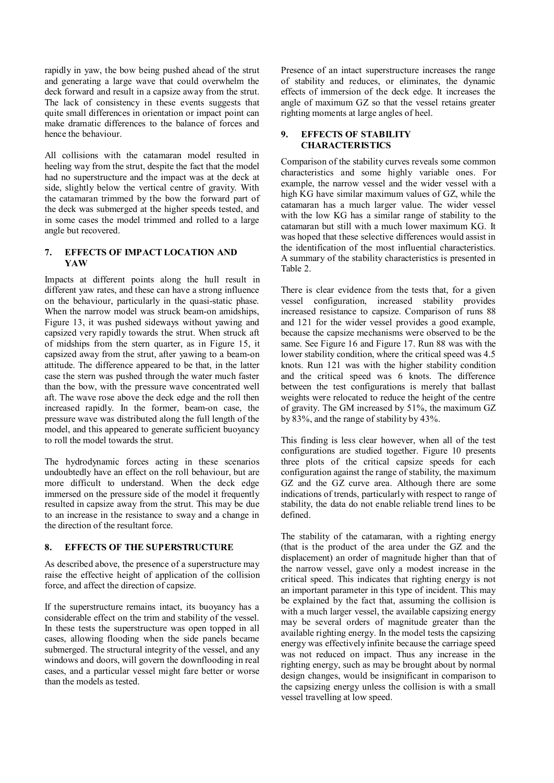rapidly in yaw, the bow being pushed ahead of the strut and generating a large wave that could overwhelm the deck forward and result in a capsize away from the strut. The lack of consistency in these events suggests that quite small differences in orientation or impact point can make dramatic differences to the balance of forces and hence the behaviour.

All collisions with the catamaran model resulted in heeling way from the strut, despite the fact that the model had no superstructure and the impact was at the deck at side, slightly below the vertical centre of gravity. With the catamaran trimmed by the bow the forward part of the deck was submerged at the higher speeds tested, and in some cases the model trimmed and rolled to a large angle but recovered.

## **7. EFFECTS OF IMPACT LOCATION AND YAW**

Impacts at different points along the hull result in different yaw rates, and these can have a strong influence on the behaviour, particularly in the quasi-static phase. When the narrow model was struck beam-on amidships, Figure 13, it was pushed sideways without yawing and capsized very rapidly towards the strut. When struck aft of midships from the stern quarter, as in Figure 15, it capsized away from the strut, after yawing to a beam-on attitude. The difference appeared to be that, in the latter case the stern was pushed through the water much faster than the bow, with the pressure wave concentrated well aft. The wave rose above the deck edge and the roll then increased rapidly. In the former, beam-on case, the pressure wave was distributed along the full length of the model, and this appeared to generate sufficient buoyancy to roll the model towards the strut.

The hydrodynamic forces acting in these scenarios undoubtedly have an effect on the roll behaviour, but are more difficult to understand. When the deck edge immersed on the pressure side of the model it frequently resulted in capsize away from the strut. This may be due to an increase in the resistance to sway and a change in the direction of the resultant force.

## **8. EFFECTS OF THE SUPERSTRUCTURE**

As described above, the presence of a superstructure may raise the effective height of application of the collision force, and affect the direction of capsize.

If the superstructure remains intact, its buoyancy has a considerable effect on the trim and stability of the vessel. In these tests the superstructure was open topped in all cases, allowing flooding when the side panels became submerged. The structural integrity of the vessel, and any windows and doors, will govern the downflooding in real cases, and a particular vessel might fare better or worse than the models as tested.

Presence of an intact superstructure increases the range of stability and reduces, or eliminates, the dynamic effects of immersion of the deck edge. It increases the angle of maximum GZ so that the vessel retains greater righting moments at large angles of heel.

## **9. EFFECTS OF STABILITY CHARACTERISTICS**

Comparison of the stability curves reveals some common characteristics and some highly variable ones. For example, the narrow vessel and the wider vessel with a high KG have similar maximum values of GZ, while the catamaran has a much larger value. The wider vessel with the low KG has a similar range of stability to the catamaran but still with a much lower maximum KG. It was hoped that these selective differences would assist in the identification of the most influential characteristics. A summary of the stability characteristics is presented in Table 2.

There is clear evidence from the tests that, for a given vessel configuration, increased stability provides increased resistance to capsize. Comparison of runs 88 and 121 for the wider vessel provides a good example, because the capsize mechanisms were observed to be the same. See Figure 16 and Figure 17. Run 88 was with the lower stability condition, where the critical speed was 4.5 knots. Run 121 was with the higher stability condition and the critical speed was 6 knots. The difference between the test configurations is merely that ballast weights were relocated to reduce the height of the centre of gravity. The GM increased by 51%, the maximum GZ by 83%, and the range of stability by 43%.

This finding is less clear however, when all of the test configurations are studied together. Figure 10 presents three plots of the critical capsize speeds for each configuration against the range of stability, the maximum GZ and the GZ curve area. Although there are some indications of trends, particularly with respect to range of stability, the data do not enable reliable trend lines to be defined.

The stability of the catamaran, with a righting energy (that is the product of the area under the GZ and the displacement) an order of magnitude higher than that of the narrow vessel, gave only a modest increase in the critical speed. This indicates that righting energy is not an important parameter in this type of incident. This may be explained by the fact that, assuming the collision is with a much larger vessel, the available capsizing energy may be several orders of magnitude greater than the available righting energy. In the model tests the capsizing energy was effectively infinite because the carriage speed was not reduced on impact. Thus any increase in the righting energy, such as may be brought about by normal design changes, would be insignificant in comparison to the capsizing energy unless the collision is with a small vessel travelling at low speed.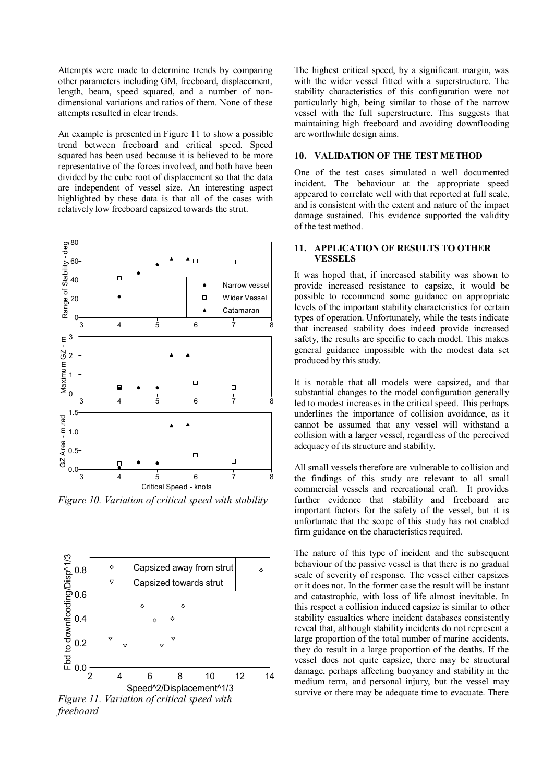Attempts were made to determine trends by comparing other parameters including GM, freeboard, displacement, length, beam, speed squared, and a number of nondimensional variations and ratios of them. None of these attempts resulted in clear trends.

An example is presented in Figure 11 to show a possible trend between freeboard and critical speed. Speed squared has been used because it is believed to be more representative of the forces involved, and both have been divided by the cube root of displacement so that the data are independent of vessel size. An interesting aspect highlighted by these data is that all of the cases with relatively low freeboard capsized towards the strut.



*Figure 10. Variation of critical speed with stability* 



*freeboard* 

The highest critical speed, by a significant margin, was with the wider vessel fitted with a superstructure. The stability characteristics of this configuration were not particularly high, being similar to those of the narrow vessel with the full superstructure. This suggests that maintaining high freeboard and avoiding downflooding are worthwhile design aims.

#### **10. VALIDATION OF THE TEST METHOD**

One of the test cases simulated a well documented incident. The behaviour at the appropriate speed appeared to correlate well with that reported at full scale, and is consistent with the extent and nature of the impact damage sustained. This evidence supported the validity of the test method.

## **11. APPLICATION OF RESULTS TO OTHER VESSELS**

It was hoped that, if increased stability was shown to provide increased resistance to capsize, it would be possible to recommend some guidance on appropriate levels of the important stability characteristics for certain types of operation. Unfortunately, while the tests indicate that increased stability does indeed provide increased safety, the results are specific to each model. This makes general guidance impossible with the modest data set produced by this study.

It is notable that all models were capsized, and that substantial changes to the model configuration generally led to modest increases in the critical speed. This perhaps underlines the importance of collision avoidance, as it cannot be assumed that any vessel will withstand a collision with a larger vessel, regardless of the perceived adequacy of its structure and stability.

All small vessels therefore are vulnerable to collision and the findings of this study are relevant to all small commercial vessels and recreational craft. It provides further evidence that stability and freeboard are important factors for the safety of the vessel, but it is unfortunate that the scope of this study has not enabled firm guidance on the characteristics required.

The nature of this type of incident and the subsequent behaviour of the passive vessel is that there is no gradual scale of severity of response. The vessel either capsizes or it does not. In the former case the result will be instant and catastrophic, with loss of life almost inevitable. In this respect a collision induced capsize is similar to other stability casualties where incident databases consistently reveal that, although stability incidents do not represent a large proportion of the total number of marine accidents, they do result in a large proportion of the deaths. If the vessel does not quite capsize, there may be structural damage, perhaps affecting buoyancy and stability in the medium term, and personal injury, but the vessel may survive or there may be adequate time to evacuate. There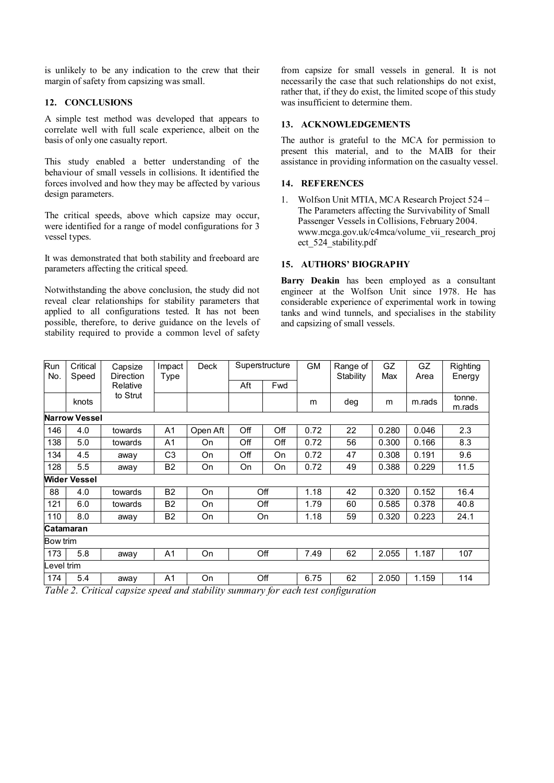is unlikely to be any indication to the crew that their margin of safety from capsizing was small.

## **12. CONCLUSIONS**

A simple test method was developed that appears to correlate well with full scale experience, albeit on the basis of only one casualty report.

This study enabled a better understanding of the behaviour of small vessels in collisions. It identified the forces involved and how they may be affected by various design parameters.

The critical speeds, above which capsize may occur, were identified for a range of model configurations for 3 vessel types.

It was demonstrated that both stability and freeboard are parameters affecting the critical speed.

Notwithstanding the above conclusion, the study did not reveal clear relationships for stability parameters that applied to all configurations tested. It has not been possible, therefore, to derive guidance on the levels of stability required to provide a common level of safety

from capsize for small vessels in general. It is not necessarily the case that such relationships do not exist, rather that, if they do exist, the limited scope of this study was insufficient to determine them.

## **13. ACKNOWLEDGEMENTS**

The author is grateful to the MCA for permission to present this material, and to the MAIB for their assistance in providing information on the casualty vessel.

### **14. REFERENCES**

1. Wolfson Unit MTIA, MCA Research Project 524 – The Parameters affecting the Survivability of Small Passenger Vessels in Collisions, February 2004. www.mcga.gov.uk/c4mca/volume\_vii\_research\_proj ect\_524\_stability.pdf

## **15. AUTHORS' BIOGRAPHY**

**Barry Deakin** has been employed as a consultant engineer at the Wolfson Unit since 1978. He has considerable experience of experimental work in towing tanks and wind tunnels, and specialises in the stability and capsizing of small vessels.

| Run<br>No. | Critical<br>Speed    | Capsize<br>Direction | Impact<br>Type | <b>Deck</b> | Superstructure |     | GМ   | Range of<br>Stability | GZ<br>Max | GZ<br>Area | Righting<br>Energy |  |  |
|------------|----------------------|----------------------|----------------|-------------|----------------|-----|------|-----------------------|-----------|------------|--------------------|--|--|
|            |                      | Relative             |                |             | Aft            | Fwd |      |                       |           |            |                    |  |  |
|            | knots                | to Strut             |                |             |                |     | m    | deg                   | m         | m.rads     | tonne.<br>m.rads   |  |  |
|            | <b>Narrow Vessel</b> |                      |                |             |                |     |      |                       |           |            |                    |  |  |
| 146        | 4.0                  | towards              | A <sub>1</sub> | Open Aft    | Off            | Off | 0.72 | 22                    | 0.280     | 0.046      | 2.3                |  |  |
| 138        | 5.0                  | towards              | A <sub>1</sub> | On          | Off            | Off | 0.72 | 56                    | 0.300     | 0.166      | 8.3                |  |  |
| 134        | 4.5                  | away                 | C <sub>3</sub> | On.         | Off            | On  | 0.72 | 47                    | 0.308     | 0.191      | 9.6                |  |  |
| 128        | 5.5                  | away                 | B <sub>2</sub> | On          | On             | On  | 0.72 | 49                    | 0.388     | 0.229      | 11.5               |  |  |
|            | <b>Wider Vessel</b>  |                      |                |             |                |     |      |                       |           |            |                    |  |  |
| 88         | 4.0                  | towards              | <b>B2</b>      | On          |                | Off | 1.18 | 42                    | 0.320     | 0.152      | 16.4               |  |  |
| 121        | 6.0                  | towards              | <b>B2</b>      | On          |                | Off | 1.79 | 60                    | 0.585     | 0.378      | 40.8               |  |  |
| 110        | 8.0                  | away                 | <b>B2</b>      | On.         | <b>On</b>      |     | 1.18 | 59                    | 0.320     | 0.223      | 24.1               |  |  |
|            | Catamaran            |                      |                |             |                |     |      |                       |           |            |                    |  |  |
| Bow trim   |                      |                      |                |             |                |     |      |                       |           |            |                    |  |  |
| 173        | 5.8                  | away                 | A <sub>1</sub> | On          |                | Off | 7.49 | 62                    | 2.055     | 1.187      | 107                |  |  |
| Level trim |                      |                      |                |             |                |     |      |                       |           |            |                    |  |  |
| 174        | 5.4                  | away                 | A <sub>1</sub> | <b>On</b>   |                | Off | 6.75 | 62                    | 2.050     | 1.159      | 114                |  |  |

*Table 2. Critical capsize speed and stability summary for each test configuration*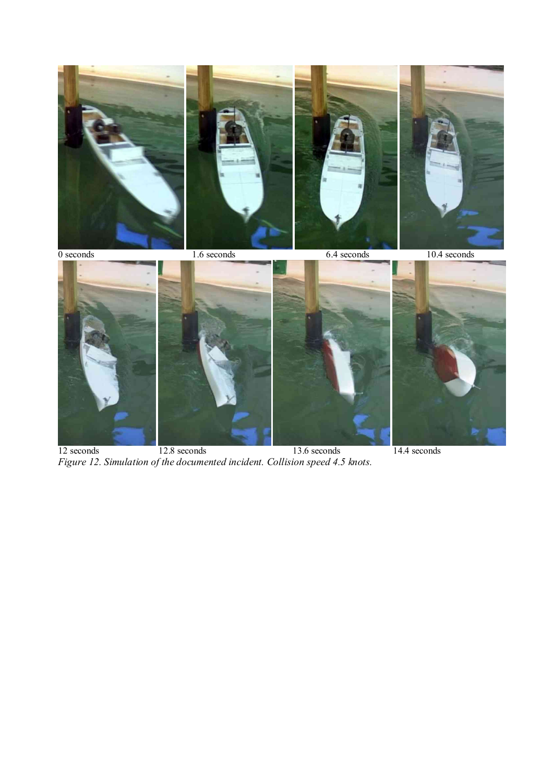

 seconds 12.8 seconds 13.6 seconds 14.4 seconds *Figure 12. Simulation of the documented incident. Collision speed 4.5 knots.*